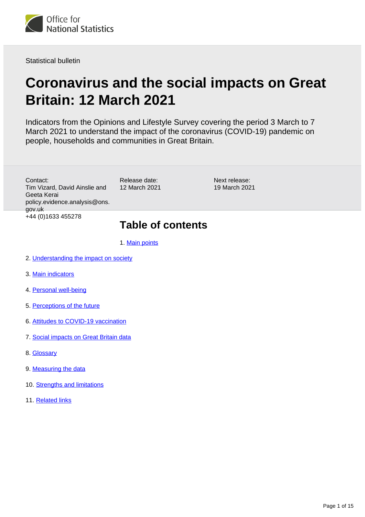

Statistical bulletin

# **Coronavirus and the social impacts on Great Britain: 12 March 2021**

Indicators from the Opinions and Lifestyle Survey covering the period 3 March to 7 March 2021 to understand the impact of the coronavirus (COVID-19) pandemic on people, households and communities in Great Britain.

Contact: Tim Vizard, David Ainslie and Geeta Kerai policy.evidence.analysis@ons. gov.uk +44 (0)1633 455278

Release date: 12 March 2021 Next release: 19 March 2021

## **Table of contents**

- 1. [Main points](#page-1-0)
- 2. [Understanding the impact on society](#page-1-1)
- 3. [Main indicators](#page-2-0)
- 4. [Personal well-being](#page-5-0)
- 5. [Perceptions of the future](#page-8-0)
- 6. [Attitudes to COVID-19 vaccination](#page-8-1)
- 7. [Social impacts on Great Britain data](#page-11-0)
- 8. [Glossary](#page-11-1)
- 9. [Measuring the data](#page-12-0)
- 10. [Strengths and limitations](#page-13-0)
- 11. [Related links](#page-14-0)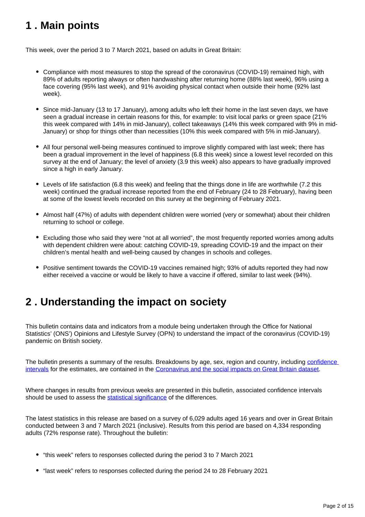# <span id="page-1-0"></span>**1 . Main points**

This week, over the period 3 to 7 March 2021, based on adults in Great Britain:

- Compliance with most measures to stop the spread of the coronavirus (COVID-19) remained high, with 89% of adults reporting always or often handwashing after returning home (88% last week), 96% using a face covering (95% last week), and 91% avoiding physical contact when outside their home (92% last week).
- Since mid-January (13 to 17 January), among adults who left their home in the last seven days, we have seen a gradual increase in certain reasons for this, for example: to visit local parks or green space (21% this week compared with 14% in mid-January), collect takeaways (14% this week compared with 9% in mid-January) or shop for things other than necessities (10% this week compared with 5% in mid-January).
- All four personal well-being measures continued to improve slightly compared with last week; there has been a gradual improvement in the level of happiness (6.8 this week) since a lowest level recorded on this survey at the end of January; the level of anxiety (3.9 this week) also appears to have gradually improved since a high in early January.
- Levels of life satisfaction (6.8 this week) and feeling that the things done in life are worthwhile (7.2 this week) continued the gradual increase reported from the end of February (24 to 28 February), having been at some of the lowest levels recorded on this survey at the beginning of February 2021.
- Almost half (47%) of adults with dependent children were worried (very or somewhat) about their children returning to school or college.
- Excluding those who said they were "not at all worried", the most frequently reported worries among adults with dependent children were about: catching COVID-19, spreading COVID-19 and the impact on their children's mental health and well-being caused by changes in schools and colleges.
- Positive sentiment towards the COVID-19 vaccines remained high; 93% of adults reported they had now either received a vaccine or would be likely to have a vaccine if offered, similar to last week (94%).

# <span id="page-1-1"></span>**2 . Understanding the impact on society**

This bulletin contains data and indicators from a module being undertaken through the Office for National Statistics' (ONS') Opinions and Lifestyle Survey (OPN) to understand the impact of the coronavirus (COVID-19) pandemic on British society.

The bulletin presents a summary of the results. Breakdowns by age, sex, region and country, including [confidence](https://www.ons.gov.uk/methodology/methodologytopicsandstatisticalconcepts/uncertaintyandhowwemeasureit#confidence-interval)  [intervals](https://www.ons.gov.uk/methodology/methodologytopicsandstatisticalconcepts/uncertaintyandhowwemeasureit#confidence-interval) for the estimates, are contained in the [Coronavirus and the social impacts on Great Britain dataset](https://www.ons.gov.uk/peoplepopulationandcommunity/healthandsocialcare/healthandwellbeing/bulletins/coronavirusandthesocialimpactsongreatbritain/5march2021/relateddata).

Where changes in results from previous weeks are presented in this bulletin, associated confidence intervals should be used to assess the [statistical significance](https://www.ons.gov.uk/methodology/methodologytopicsandstatisticalconcepts/uncertaintyandhowwemeasureit#statistical-significance) of the differences.

The latest statistics in this release are based on a survey of 6,029 adults aged 16 years and over in Great Britain conducted between 3 and 7 March 2021 (inclusive). Results from this period are based on 4,334 responding adults (72% response rate). Throughout the bulletin:

- "this week" refers to responses collected during the period 3 to 7 March 2021
- "last week" refers to responses collected during the period 24 to 28 February 2021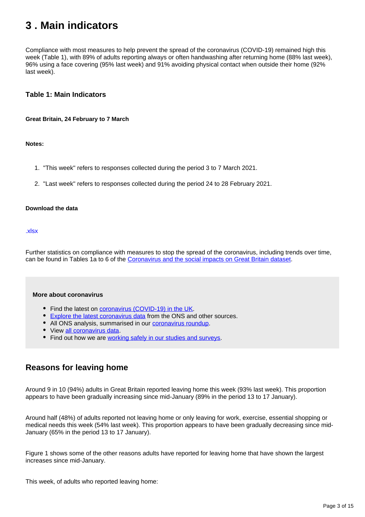# <span id="page-2-0"></span>**3 . Main indicators**

Compliance with most measures to help prevent the spread of the coronavirus (COVID-19) remained high this week (Table 1), with 89% of adults reporting always or often handwashing after returning home (88% last week), 96% using a face covering (95% last week) and 91% avoiding physical contact when outside their home (92% last week).

## **Table 1: Main Indicators**

### **Great Britain, 24 February to 7 March**

### **Notes:**

- 1. "This week" refers to responses collected during the period 3 to 7 March 2021.
- 2. "Last week" refers to responses collected during the period 24 to 28 February 2021.

### **Download the data**

#### [.xlsx](https://www.ons.gov.uk/visualisations/dvc135/table/datadownload.xlsx)

Further statistics on compliance with measures to stop the spread of the coronavirus, including trends over time, can be found in Tables 1a to 6 of the [Coronavirus and the social impacts on Great Britain dataset](https://www.ons.gov.uk/peoplepopulationandcommunity/healthandsocialcare/healthandwellbeing/datasets/coronavirusandthesocialimpactsongreatbritaindata).

### **More about coronavirus**

- Find the latest on [coronavirus \(COVID-19\) in the UK.](https://www.ons.gov.uk/peoplepopulationandcommunity/healthandsocialcare/conditionsanddiseases)
- **[Explore the latest coronavirus data](https://www.ons.gov.uk/peoplepopulationandcommunity/healthandsocialcare/conditionsanddiseases/articles/coronaviruscovid19/latestinsights) from the ONS and other sources.**
- All ONS analysis, summarised in our [coronavirus roundup.](https://www.ons.gov.uk/peoplepopulationandcommunity/healthandsocialcare/conditionsanddiseases/articles/coronaviruscovid19roundup/latest)
- View [all coronavirus data](https://www.ons.gov.uk/peoplepopulationandcommunity/healthandsocialcare/conditionsanddiseases/datalist).
- Find out how we are [working safely in our studies and surveys.](https://www.ons.gov.uk/news/statementsandletters/ensuringyoursafetyduringcovid19)

## **Reasons for leaving home**

Around 9 in 10 (94%) adults in Great Britain reported leaving home this week (93% last week). This proportion appears to have been gradually increasing since mid-January (89% in the period 13 to 17 January).

Around half (48%) of adults reported not leaving home or only leaving for work, exercise, essential shopping or medical needs this week (54% last week). This proportion appears to have been gradually decreasing since mid-January (65% in the period 13 to 17 January).

Figure 1 shows some of the other reasons adults have reported for leaving home that have shown the largest increases since mid-January.

This week, of adults who reported leaving home: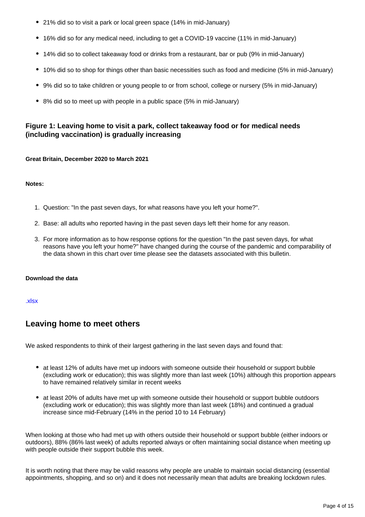- 21% did so to visit a park or local green space (14% in mid-January)
- 16% did so for any medical need, including to get a COVID-19 vaccine (11% in mid-January)
- 14% did so to collect takeaway food or drinks from a restaurant, bar or pub (9% in mid-January)
- 10% did so to shop for things other than basic necessities such as food and medicine (5% in mid-January)
- 9% did so to take children or young people to or from school, college or nursery (5% in mid-January)
- 8% did so to meet up with people in a public space (5% in mid-January)

## **Figure 1: Leaving home to visit a park, collect takeaway food or for medical needs (including vaccination) is gradually increasing**

## **Great Britain, December 2020 to March 2021**

### **Notes:**

- 1. Question: "In the past seven days, for what reasons have you left your home?".
- 2. Base: all adults who reported having in the past seven days left their home for any reason.
- 3. For more information as to how response options for the question "In the past seven days, for what reasons have you left your home?" have changed during the course of the pandemic and comparability of the data shown in this chart over time please see the datasets associated with this bulletin.

## **Download the data**

### [.xlsx](https://www.ons.gov.uk/visualisations/dvc1235/reasonstoleavehome/datadownload.xlsx)

## **Leaving home to meet others**

We asked respondents to think of their largest gathering in the last seven days and found that:

- at least 12% of adults have met up indoors with someone outside their household or support bubble (excluding work or education); this was slightly more than last week (10%) although this proportion appears to have remained relatively similar in recent weeks
- at least 20% of adults have met up with someone outside their household or support bubble outdoors (excluding work or education); this was slightly more than last week (18%) and continued a gradual increase since mid-February (14% in the period 10 to 14 February)

When looking at those who had met up with others outside their household or support bubble (either indoors or outdoors), 88% (86% last week) of adults reported always or often maintaining social distance when meeting up with people outside their support bubble this week.

It is worth noting that there may be valid reasons why people are unable to maintain social distancing (essential appointments, shopping, and so on) and it does not necessarily mean that adults are breaking lockdown rules.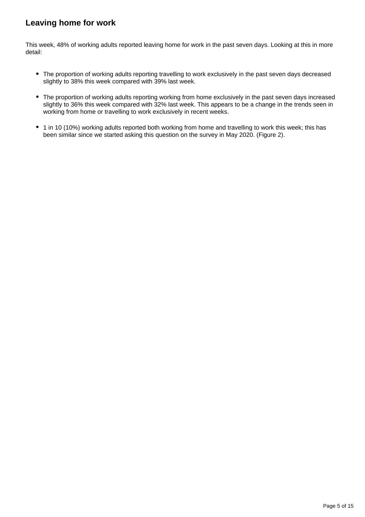## **Leaving home for work**

This week, 48% of working adults reported leaving home for work in the past seven days. Looking at this in more detail:

- The proportion of working adults reporting travelling to work exclusively in the past seven days decreased slightly to 38% this week compared with 39% last week.
- The proportion of working adults reporting working from home exclusively in the past seven days increased slightly to 36% this week compared with 32% last week. This appears to be a change in the trends seen in working from home or travelling to work exclusively in recent weeks.
- 1 in 10 (10%) working adults reported both working from home and travelling to work this week; this has been similar since we started asking this question on the survey in May 2020. (Figure 2).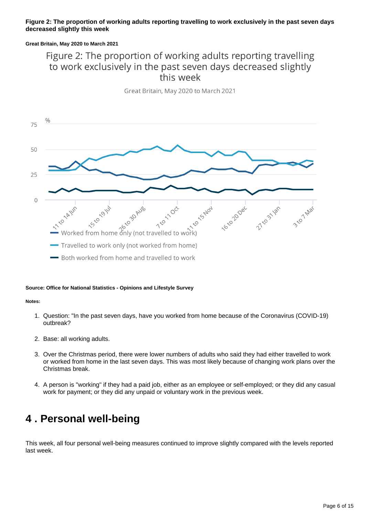## **Figure 2: The proportion of working adults reporting travelling to work exclusively in the past seven days decreased slightly this week**

## **Great Britain, May 2020 to March 2021**

## Figure 2: The proportion of working adults reporting travelling to work exclusively in the past seven days decreased slightly this week

Great Britain, May 2020 to March 2021



### **Source: Office for National Statistics - Opinions and Lifestyle Survey**

#### **Notes:**

- 1. Question: "In the past seven days, have you worked from home because of the Coronavirus (COVID-19) outbreak?
- 2. Base: all working adults.
- 3. Over the Christmas period, there were lower numbers of adults who said they had either travelled to work or worked from home in the last seven days. This was most likely because of changing work plans over the Christmas break.
- 4. A person is "working" if they had a paid job, either as an employee or self-employed; or they did any casual work for payment; or they did any unpaid or voluntary work in the previous week.

# <span id="page-5-0"></span>**4 . Personal well-being**

This week, all four personal well-being measures continued to improve slightly compared with the levels reported last week.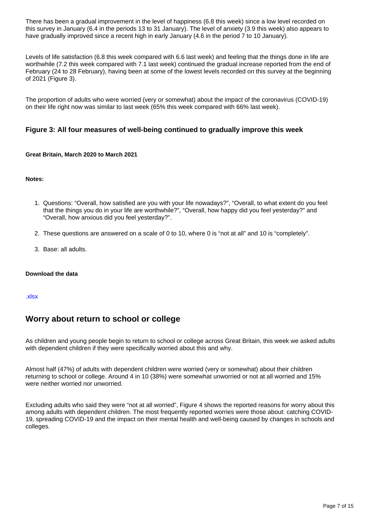There has been a gradual improvement in the level of happiness (6.8 this week) since a low level recorded on this survey in January (6.4 in the periods 13 to 31 January). The level of anxiety (3.9 this week) also appears to have gradually improved since a recent high in early January (4.6 in the period 7 to 10 January).

Levels of life satisfaction (6.8 this week compared with 6.6 last week) and feeling that the things done in life are worthwhile (7.2 this week compared with 7.1 last week) continued the gradual increase reported from the end of February (24 to 28 February), having been at some of the lowest levels recorded on this survey at the beginning of 2021 (Figure 3).

The proportion of adults who were worried (very or somewhat) about the impact of the coronavirus (COVID-19) on their life right now was similar to last week (65% this week compared with 66% last week).

## **Figure 3: All four measures of well-being continued to gradually improve this week**

## **Great Britain, March 2020 to March 2021**

### **Notes:**

- 1. Questions: "Overall, how satisfied are you with your life nowadays?", "Overall, to what extent do you feel that the things you do in your life are worthwhile?", "Overall, how happy did you feel yesterday?" and "Overall, how anxious did you feel yesterday?".
- 2. These questions are answered on a scale of 0 to 10, where 0 is "not at all" and 10 is "completely".
- 3. Base: all adults.

### **Download the data**

### [.xlsx](https://www.ons.gov.uk/visualisations/dvc1235/wellbeing/wrapper/datadownload.xlsx)

## **Worry about return to school or college**

As children and young people begin to return to school or college across Great Britain, this week we asked adults with dependent children if they were specifically worried about this and why.

Almost half (47%) of adults with dependent children were worried (very or somewhat) about their children returning to school or college. Around 4 in 10 (38%) were somewhat unworried or not at all worried and 15% were neither worried nor unworried.

Excluding adults who said they were "not at all worried", Figure 4 shows the reported reasons for worry about this among adults with dependent children. The most frequently reported worries were those about: catching COVID-19, spreading COVID-19 and the impact on their mental health and well-being caused by changes in schools and colleges.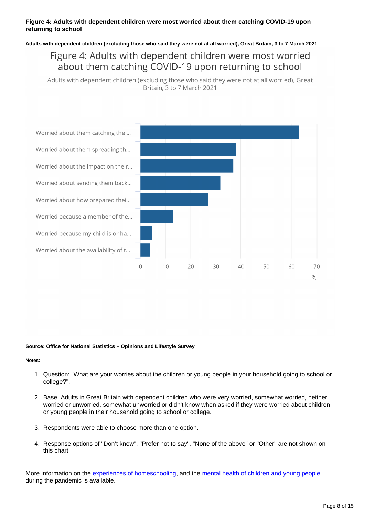## **Figure 4: Adults with dependent children were most worried about them catching COVID-19 upon returning to school**

**Adults with dependent children (excluding those who said they were not at all worried), Great Britain, 3 to 7 March 2021**

## Figure 4: Adults with dependent children were most worried about them catching COVID-19 upon returning to school

Adults with dependent children (excluding those who said they were not at all worried), Great Britain, 3 to 7 March 2021



### **Source: Office for National Statistics – Opinions and Lifestyle Survey**

### **Notes:**

- 1. Question: "What are your worries about the children or young people in your household going to school or college?".
- 2. Base: Adults in Great Britain with dependent children who were very worried, somewhat worried, neither worried or unworried, somewhat unworried or didn't know when asked if they were worried about children or young people in their household going to school or college.
- 3. Respondents were able to choose more than one option.
- 4. Response options of "Don't know", "Prefer not to say", "None of the above" or "Other" are not shown on this chart.

More information on the [experiences of homeschooling,](https://www.ons.gov.uk/peoplepopulationandcommunity/healthandsocialcare/healthandwellbeing/bulletins/coronavirusandthesocialimpactsongreatbritain/19february2021#homeschooling) and the [mental health of children and young people](https://digital.nhs.uk/data-and-information/publications/statistical/mental-health-of-children-and-young-people-in-england/2020-wave-1-follow-up) during the pandemic is available.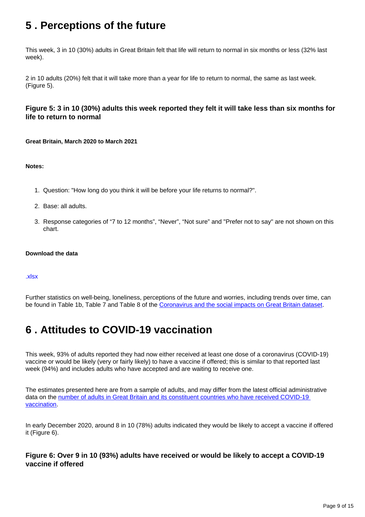# <span id="page-8-0"></span>**5 . Perceptions of the future**

This week, 3 in 10 (30%) adults in Great Britain felt that life will return to normal in six months or less (32% last week).

2 in 10 adults (20%) felt that it will take more than a year for life to return to normal, the same as last week. (Figure 5).

## **Figure 5: 3 in 10 (30%) adults this week reported they felt it will take less than six months for life to return to normal**

**Great Britain, March 2020 to March 2021**

## **Notes:**

- 1. Question: "How long do you think it will be before your life returns to normal?".
- 2. Base: all adults.
- 3. Response categories of "7 to 12 months", "Never", "Not sure" and "Prefer not to say" are not shown on this chart.

### **Download the data**

### [.xlsx](https://www.ons.gov.uk/visualisations/dvc1235/returntonormal/datadownload.xlsx)

Further statistics on well-being, loneliness, perceptions of the future and worries, including trends over time, can be found in Table 1b, Table 7 and Table 8 of the [Coronavirus and the social impacts on Great Britain dataset](https://www.ons.gov.uk/peoplepopulationandcommunity/healthandsocialcare/healthandwellbeing/datasets/coronavirusandthesocialimpactsongreatbritaindata).

## <span id="page-8-1"></span>**6 . Attitudes to COVID-19 vaccination**

This week, 93% of adults reported they had now either received at least one dose of a coronavirus (COVID-19) vaccine or would be likely (very or fairly likely) to have a vaccine if offered; this is similar to that reported last week (94%) and includes adults who have accepted and are waiting to receive one.

The estimates presented here are from a sample of adults, and may differ from the latest official administrative data on the number of adults in Great Britain and its constituent countries who have received COVID-19 [vaccination](https://coronavirus.data.gov.uk/details/vaccinations).

In early December 2020, around 8 in 10 (78%) adults indicated they would be likely to accept a vaccine if offered it (Figure 6).

## **Figure 6: Over 9 in 10 (93%) adults have received or would be likely to accept a COVID-19 vaccine if offered**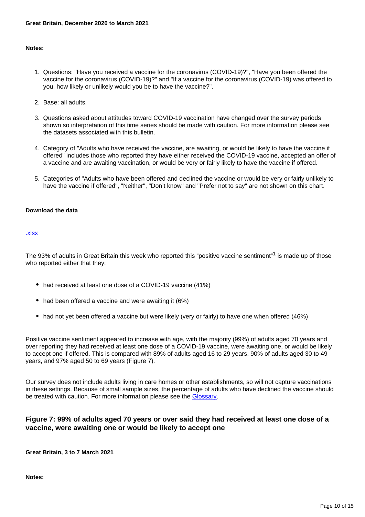### **Notes:**

- 1. Questions: "Have you received a vaccine for the coronavirus (COVID-19)?", "Have you been offered the vaccine for the coronavirus (COVID-19)?" and "If a vaccine for the coronavirus (COVID-19) was offered to you, how likely or unlikely would you be to have the vaccine?".
- 2. Base: all adults.
- 3. Questions asked about attitudes toward COVID-19 vaccination have changed over the survey periods shown so interpretation of this time series should be made with caution. For more information please see the datasets associated with this bulletin.
- 4. Category of "Adults who have received the vaccine, are awaiting, or would be likely to have the vaccine if offered" includes those who reported they have either received the COVID-19 vaccine, accepted an offer of a vaccine and are awaiting vaccination, or would be very or fairly likely to have the vaccine if offered.
- 5. Categories of "Adults who have been offered and declined the vaccine or would be very or fairly unlikely to have the vaccine if offered", "Neither", "Don't know" and "Prefer not to say" are not shown on this chart.

### **Download the data**

### [.xlsx](https://www.ons.gov.uk/visualisations/dvc1235/vaccine-overtime/datadownload.xlsx)

The 93% of adults in Great Britain this week who reported this "positive vaccine sentiment"<sup>1</sup> is made up of those who reported either that they:

- had received at least one dose of a COVID-19 vaccine (41%)
- had been offered a vaccine and were awaiting it (6%)
- had not yet been offered a vaccine but were likely (very or fairly) to have one when offered (46%)

Positive vaccine sentiment appeared to increase with age, with the majority (99%) of adults aged 70 years and over reporting they had received at least one dose of a COVID-19 vaccine, were awaiting one, or would be likely to accept one if offered. This is compared with 89% of adults aged 16 to 29 years, 90% of adults aged 30 to 49 years, and 97% aged 50 to 69 years (Figure 7).

Our survey does not include adults living in care homes or other establishments, so will not capture vaccinations in these settings. Because of small sample sizes, the percentage of adults who have declined the vaccine should be treated with caution. For more information please see the [Glossary.](https://www.ons.gov.uk/peoplepopulationandcommunity/healthandsocialcare/healthandwellbeing/bulletins/coronavirusandthesocialimpactsongreatbritain/12march2021#glossary)

## **Figure 7: 99% of adults aged 70 years or over said they had received at least one dose of a vaccine, were awaiting one or would be likely to accept one**

**Great Britain, 3 to 7 March 2021**

**Notes:**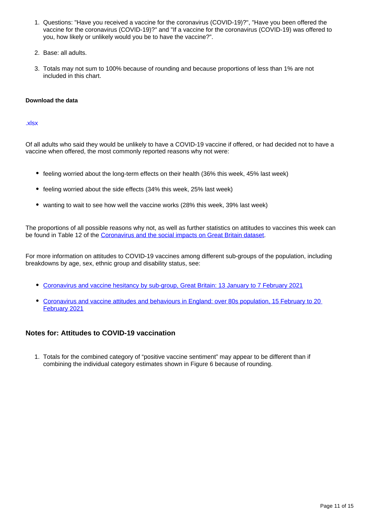- 1. Questions: "Have you received a vaccine for the coronavirus (COVID-19)?", "Have you been offered the vaccine for the coronavirus (COVID-19)?" and "If a vaccine for the coronavirus (COVID-19) was offered to you, how likely or unlikely would you be to have the vaccine?".
- 2. Base: all adults.
- 3. Totals may not sum to 100% because of rounding and because proportions of less than 1% are not included in this chart.

## **Download the data**

## [.xlsx](https://www.ons.gov.uk/visualisations/dvc1235/vaccine-agegroup/datadownload.xlsx)

Of all adults who said they would be unlikely to have a COVID-19 vaccine if offered, or had decided not to have a vaccine when offered, the most commonly reported reasons why not were:

- feeling worried about the long-term effects on their health (36% this week, 45% last week)
- feeling worried about the side effects (34% this week, 25% last week)
- wanting to wait to see how well the vaccine works (28% this week, 39% last week)

The proportions of all possible reasons why not, as well as further statistics on attitudes to vaccines this week can be found in Table 12 of the [Coronavirus and the social impacts on Great Britain dataset.](https://www.ons.gov.uk/peoplepopulationandcommunity/healthandsocialcare/healthandwellbeing/datasets/coronavirusandthesocialimpactsongreatbritaindata)

For more information on attitudes to COVID-19 vaccines among different sub-groups of the population, including breakdowns by age, sex, ethnic group and disability status, see:

- [Coronavirus and vaccine hesitancy by sub-group, Great Britain: 13 January to 7 February 2021](https://www.ons.gov.uk/peoplepopulationandcommunity/healthandsocialcare/healthandwellbeing/bulletins/coronavirusandvaccinehesitancygreatbritain/13januaryto7february2021)
- [Coronavirus and vaccine attitudes and behaviours in England: over 80s population, 15 February to 20](https://www.ons.gov.uk/peoplepopulationandcommunity/healthandsocialcare/conditionsanddiseases/bulletins/coronavirusandvaccineattitudesandbehavioursinengland/over80spopulation15februaryto20february2021)  [February 2021](https://www.ons.gov.uk/peoplepopulationandcommunity/healthandsocialcare/conditionsanddiseases/bulletins/coronavirusandvaccineattitudesandbehavioursinengland/over80spopulation15februaryto20february2021)

## **Notes for: Attitudes to COVID-19 vaccination**

1. Totals for the combined category of "positive vaccine sentiment" may appear to be different than if combining the individual category estimates shown in Figure 6 because of rounding.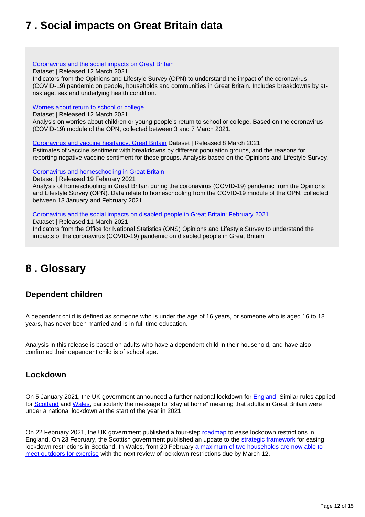# <span id="page-11-0"></span>**7 . Social impacts on Great Britain data**

[Coronavirus and the social impacts on Great Britain](https://www.ons.gov.uk/peoplepopulationandcommunity/healthandsocialcare/healthandwellbeing/datasets/coronavirusandthesocialimpactsongreatbritaindata)

Dataset | Released 12 March 2021

Indicators from the Opinions and Lifestyle Survey (OPN) to understand the impact of the coronavirus (COVID-19) pandemic on people, households and communities in Great Britain. Includes breakdowns by atrisk age, sex and underlying health condition.

## [Worries about return to school or college](https://www.ons.gov.uk/peoplepopulationandcommunity/healthandsocialcare/healthandwellbeing/datasets/worriesaboutreturntoschoolandcollege)

Dataset | Released 12 March 2021

Analysis on worries about children or young people's return to school or college. Based on the coronavirus (COVID-19) module of the OPN, collected between 3 and 7 March 2021.

[Coronavirus and vaccine hesitancy, Great Britain](https://www.ons.gov.uk/peoplepopulationandcommunity/healthandsocialcare/healthandwellbeing/datasets/coronavirusandvaccinehesitancygreatbritain) Dataset | Released 8 March 2021

Estimates of vaccine sentiment with breakdowns by different population groups, and the reasons for reporting negative vaccine sentiment for these groups. Analysis based on the Opinions and Lifestyle Survey.

## [Coronavirus and homeschooling in Great Britain](https://www.ons.gov.uk/peoplepopulationandcommunity/educationandchildcare/datasets/coronavirusandhomeschoolingingreatbritain)

Dataset | Released 19 February 2021

Analysis of homeschooling in Great Britain during the coronavirus (COVID-19) pandemic from the Opinions and Lifestyle Survey (OPN). Data relate to homeschooling from the COVID-19 module of the OPN, collected between 13 January and February 2021.

[Coronavirus and the social impacts on disabled people in Great Britain: February 2021](https://www.ons.gov.uk/peoplepopulationandcommunity/healthandsocialcare/disability/articles/coronavirusandthesocialimpactsondisabledpeopleingreatbritain/september2020)

Dataset | Released 11 March 2021

Indicators from the Office for National Statistics (ONS) Opinions and Lifestyle Survey to understand the impacts of the coronavirus (COVID-19) pandemic on disabled people in Great Britain.

## <span id="page-11-1"></span>**8 . Glossary**

## **Dependent children**

A dependent child is defined as someone who is under the age of 16 years, or someone who is aged 16 to 18 years, has never been married and is in full-time education.

Analysis in this release is based on adults who have a dependent child in their household, and have also confirmed their dependent child is of school age.

## **Lockdown**

On 5 January 2021, the UK government announced a further national lockdown for [England](https://www.gov.uk/guidance/national-lockdown-stay-at-home). Similar rules applied for [Scotland](https://www.gov.scot/publications/coronavirus-covid-19-stay-at-home-guidance/) and [Wales](https://gov.wales/covid-19-alert-levels), particularly the message to "stay at home" meaning that adults in Great Britain were under a national lockdown at the start of the year in 2021.

On 22 February 2021, the UK government published a four-step [roadmap](https://www.gov.uk/government/publications/covid-19-response-spring-2021) to ease lockdown restrictions in England. On 23 February, the Scottish government published an update to the [strategic framework](https://www.gov.scot/publications/coronavirus-covid-19-strategic-framework-update-february-2021/pages/protective-measures-and-our-levels-approach/) for easing lockdown restrictions in Scotland. In Wales, from 20 February a maximum of two households are now able to [meet outdoors for exercise](https://gov.wales/alert-level-4) with the next review of lockdown restrictions due by March 12.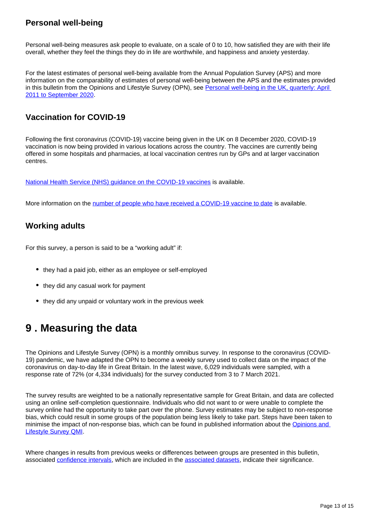## **Personal well-being**

Personal well-being measures ask people to evaluate, on a scale of 0 to 10, how satisfied they are with their life overall, whether they feel the things they do in life are worthwhile, and happiness and anxiety yesterday.

For the latest estimates of personal well-being available from the Annual Population Survey (APS) and more information on the comparability of estimates of personal well-being between the APS and the estimates provided in this bulletin from the Opinions and Lifestyle Survey (OPN), see Personal well-being in the UK, quarterly: April [2011 to September 2020.](https://www.ons.gov.uk/peoplepopulationandcommunity/wellbeing/bulletins/personalwellbeingintheukquarterly/april2011toseptember2020)

## **Vaccination for COVID-19**

Following the first coronavirus (COVID-19) vaccine being given in the UK on 8 December 2020, COVID-19 vaccination is now being provided in various locations across the country. The vaccines are currently being offered in some hospitals and pharmacies, at local vaccination centres run by GPs and at larger vaccination centres.

[National Health Service \(NHS\) guidance on the COVID-19 vaccines](https://www.nhs.uk/conditions/coronavirus-covid-19/coronavirus-vaccination/coronavirus-vaccine/?priority-taxon=774cee22-d896-44c1-a611-e3109cce8eae) is available.

More information on the [number of people who have received a COVID-19 vaccine to date](https://coronavirus.data.gov.uk/details/vaccinations) is available.

## **Working adults**

For this survey, a person is said to be a "working adult" if:

- they had a paid job, either as an employee or self-employed
- they did any casual work for payment
- they did any unpaid or voluntary work in the previous week

# <span id="page-12-0"></span>**9 . Measuring the data**

The Opinions and Lifestyle Survey (OPN) is a monthly omnibus survey. In response to the coronavirus (COVID-19) pandemic, we have adapted the OPN to become a weekly survey used to collect data on the impact of the coronavirus on day-to-day life in Great Britain. In the latest wave, 6,029 individuals were sampled, with a response rate of 72% (or 4,334 individuals) for the survey conducted from 3 to 7 March 2021.

The survey results are weighted to be a nationally representative sample for Great Britain, and data are collected using an online self-completion questionnaire. Individuals who did not want to or were unable to complete the survey online had the opportunity to take part over the phone. Survey estimates may be subject to non-response bias, which could result in some groups of the population being less likely to take part. Steps have been taken to minimise the impact of non-response bias, which can be found in published information about the [Opinions and](https://www.ons.gov.uk/peoplepopulationandcommunity/healthandsocialcare/healthandlifeexpectancies/methodologies/opinionsandlifestylesurveyqmi)  [Lifestyle Survey QMI.](https://www.ons.gov.uk/peoplepopulationandcommunity/healthandsocialcare/healthandlifeexpectancies/methodologies/opinionsandlifestylesurveyqmi)

Where changes in results from previous weeks or differences between groups are presented in this bulletin, associated [confidence intervals](https://www.ons.gov.uk/methodology/methodologytopicsandstatisticalconcepts/uncertaintyandhowwemeasureit#confidence-interval), which are included in the [associated datasets,](https://www.ons.gov.uk/peoplepopulationandcommunity/healthandsocialcare/healthandwellbeing/bulletins/coronavirusandthesocialimpactsongreatbritain/5march2021/relateddata) indicate their significance.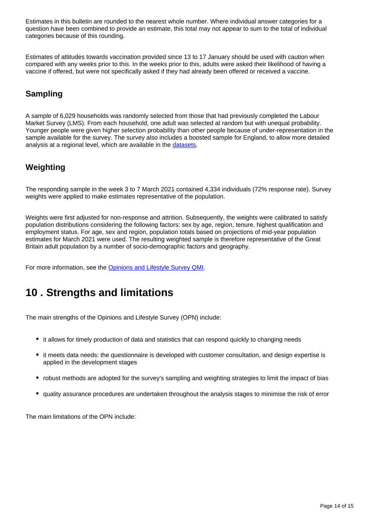Estimates in this bulletin are rounded to the nearest whole number. Where individual answer categories for a question have been combined to provide an estimate, this total may not appear to sum to the total of individual categories because of this rounding.

Estimates of attitudes towards vaccination provided since 13 to 17 January should be used with caution when compared with any weeks prior to this. In the weeks prior to this, adults were asked their likelihood of having a vaccine if offered, but were not specifically asked if they had already been offered or received a vaccine.

## **Sampling**

A sample of 6,029 households was randomly selected from those that had previously completed the Labour Market Survey (LMS). From each household, one adult was selected at random but with unequal probability. Younger people were given higher selection probability than other people because of under-representation in the sample available for the survey. The survey also includes a boosted sample for England, to allow more detailed analysis at a regional level, which are available in the [datasets.](https://www.ons.gov.uk/peoplepopulationandcommunity/healthandsocialcare/healthandwellbeing/datasets/coronavirusandthesocialimpactsongreatbritaindata)

## **Weighting**

The responding sample in the week 3 to 7 March 2021 contained 4,334 individuals (72% response rate). Survey weights were applied to make estimates representative of the population.

Weights were first adjusted for non-response and attrition. Subsequently, the weights were calibrated to satisfy population distributions considering the following factors: sex by age, region, tenure, highest qualification and employment status. For age, sex and region, population totals based on projections of mid-year population estimates for March 2021 were used. The resulting weighted sample is therefore representative of the Great Britain adult population by a number of socio-demographic factors and geography.

For more information, see the [Opinions and Lifestyle Survey QMI](https://www.ons.gov.uk/peoplepopulationandcommunity/healthandsocialcare/healthandlifeexpectancies/methodologies/opinionsandlifestylesurveyqmi).

# <span id="page-13-0"></span>**10 . Strengths and limitations**

The main strengths of the Opinions and Lifestyle Survey (OPN) include:

- it allows for timely production of data and statistics that can respond quickly to changing needs
- it meets data needs: the questionnaire is developed with customer consultation, and design expertise is applied in the development stages
- robust methods are adopted for the survey's sampling and weighting strategies to limit the impact of bias
- quality assurance procedures are undertaken throughout the analysis stages to minimise the risk of error

The main limitations of the OPN include: